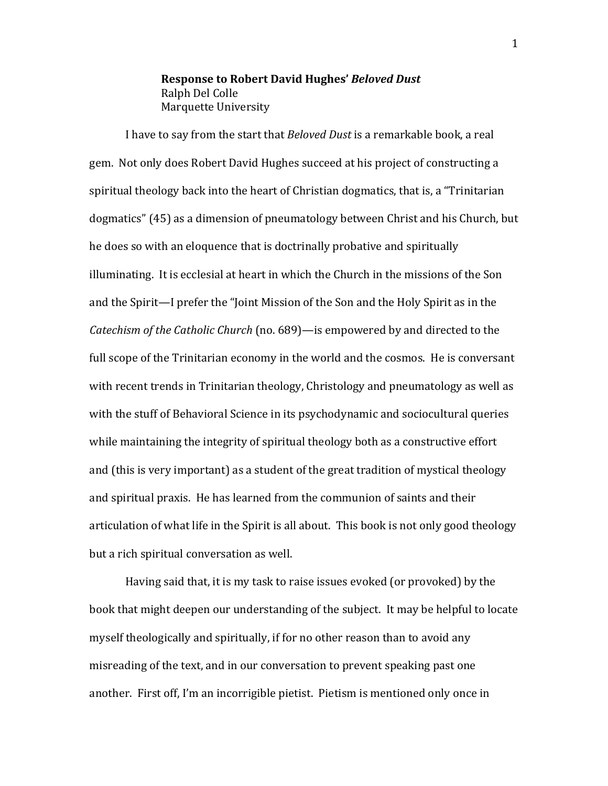**Response to Robert David Hughes' Beloved Dust** Ralph Del Colle Marquette University

I have to say from the start that Beloved Dust is a remarkable book, a real gem. Not only does Robert David Hughes succeed at his project of constructing a spiritual theology back into the heart of Christian dogmatics, that is, a "Trinitarian" dogmatics" (45) as a dimension of pneumatology between Christ and his Church, but he does so with an eloquence that is doctrinally probative and spiritually illuminating. It is ecclesial at heart in which the Church in the missions of the Son and the Spirit—I prefer the "Joint Mission of the Son and the Holy Spirit as in the *Catechism of the Catholic Church* (no. 689)—is empowered by and directed to the full scope of the Trinitarian economy in the world and the cosmos. He is conversant with recent trends in Trinitarian theology, Christology and pneumatology as well as with the stuff of Behavioral Science in its psychodynamic and sociocultural queries while maintaining the integrity of spiritual theology both as a constructive effort and (this is very important) as a student of the great tradition of mystical theology and spiritual praxis. He has learned from the communion of saints and their articulation of what life in the Spirit is all about. This book is not only good theology but a rich spiritual conversation as well.

Having said that, it is my task to raise issues evoked (or provoked) by the book that might deepen our understanding of the subject. It may be helpful to locate myself theologically and spiritually, if for no other reason than to avoid any misreading of the text, and in our conversation to prevent speaking past one another. First off, I'm an incorrigible pietist. Pietism is mentioned only once in

 $\mathbf{1}$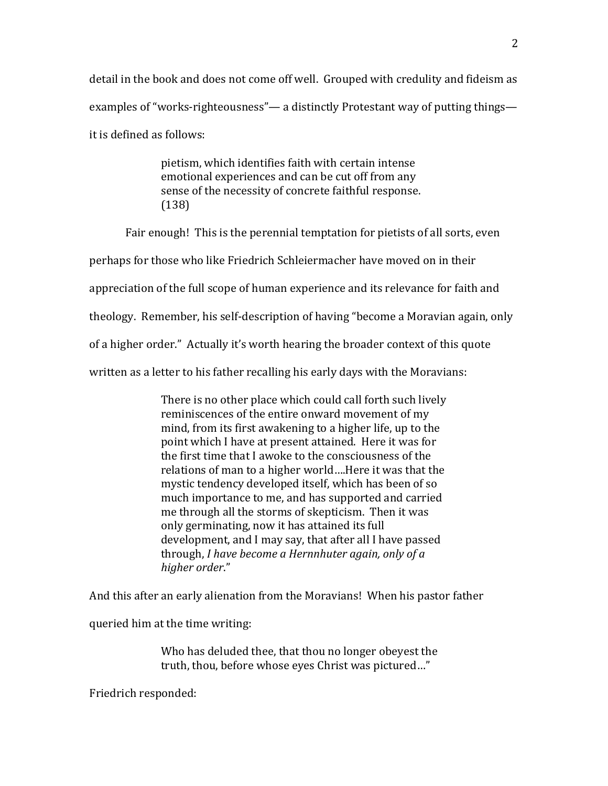detail in the book and does not come off well. Grouped with credulity and fideism as examples of "works-righteousness"— a distinctly Protestant way of putting things it is defined as follows:

> pietism, which identifies faith with certain intense emotional experiences and can be cut off from any sense of the necessity of concrete faithful response.  $(138)$

Fair enough! This is the perennial temptation for pietists of all sorts, even perhaps for those who like Friedrich Schleiermacher have moved on in their appreciation of the full scope of human experience and its relevance for faith and theology. Remember, his self-description of having "become a Moravian again, only of a higher order." Actually it's worth hearing the broader context of this quote written as a letter to his father recalling his early days with the Moravians:

> There is no other place which could call forth such lively reminiscences of the entire onward movement of my mind, from its first awakening to a higher life, up to the point which I have at present attained. Here it was for the first time that I awoke to the consciousness of the relations of man to a higher world....Here it was that the mystic tendency developed itself, which has been of so much importance to me, and has supported and carried me through all the storms of skepticism. Then it was only germinating, now it has attained its full development, and I may say, that after all I have passed through, I have become a Hernnhuter again, only of a higher order."

And this after an early alienation from the Moravians! When his pastor father

queried him at the time writing:

Who has deluded thee, that thou no longer obeyest the truth, thou, before whose eyes Christ was pictured..."

Friedrich responded: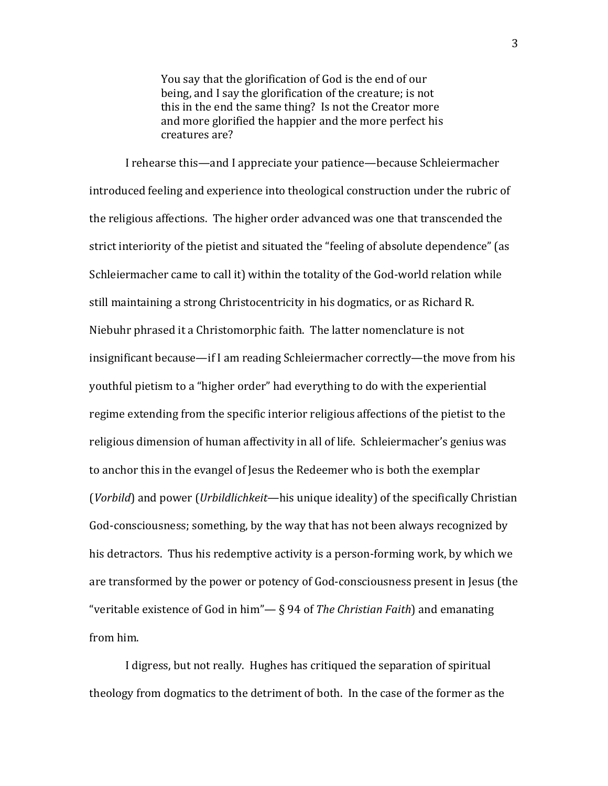You say that the glorification of God is the end of our being, and I say the glorification of the creature; is not this in the end the same thing? Is not the Creator more and more glorified the happier and the more perfect his creatures are?

I rehearse this—and I appreciate your patience—because Schleiermacher introduced feeling and experience into theological construction under the rubric of the religious affections. The higher order advanced was one that transcended the strict interiority of the pietist and situated the "feeling of absolute dependence" (as Schleiermacher came to call it) within the totality of the God-world relation while still maintaining a strong Christocentricity in his dogmatics, or as Richard R. Niebuhr phrased it a Christomorphic faith. The latter nomenclature is not insignificant because—if I am reading Schleiermacher correctly—the move from his youthful pietism to a "higher order" had everything to do with the experiential regime extending from the specific interior religious affections of the pietist to the religious dimension of human affectivity in all of life. Schleiermacher's genius was to anchor this in the evangel of Jesus the Redeemer who is both the exemplar (Vorbild) and power (Urbildlichkeit—his unique ideality) of the specifically Christian God-consciousness; something, by the way that has not been always recognized by his detractors. Thus his redemptive activity is a person-forming work, by which we are transformed by the power or potency of God-consciousness present in Jesus (the "veritable existence of God in him" $-$  § 94 of The Christian Faith) and emanating from him.

I digress, but not really. Hughes has critiqued the separation of spiritual theology from dogmatics to the detriment of both. In the case of the former as the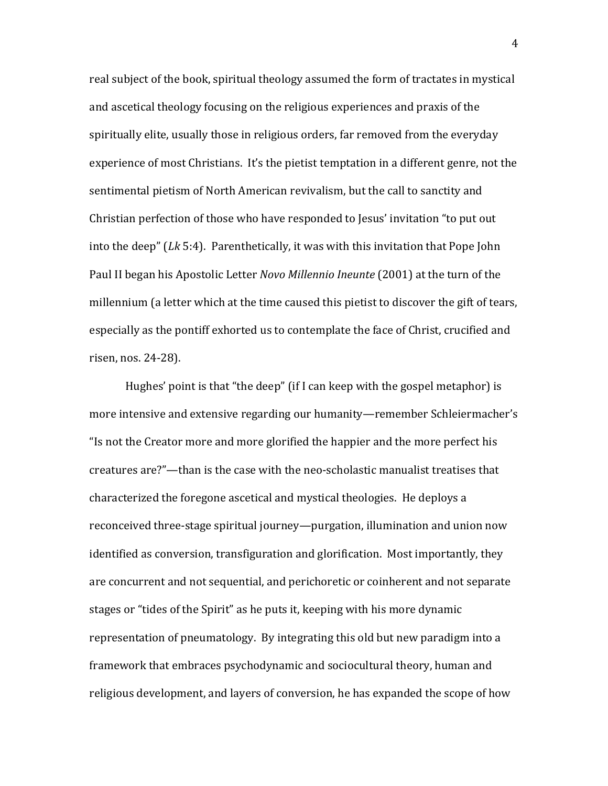real subject of the book, spiritual theology assumed the form of tractates in mystical and ascetical theology focusing on the religious experiences and praxis of the spiritually elite, usually those in religious orders, far removed from the everyday experience of most Christians. It's the pietist temptation in a different genre, not the sentimental pietism of North American revivalism, but the call to sanctity and Christian perfection of those who have responded to Jesus' invitation "to put out into the deep"  $(Lk 5:4)$ . Parenthetically, it was with this invitation that Pope John Paul II began his Apostolic Letter Novo Millennio Ineunte (2001) at the turn of the millennium (a letter which at the time caused this pietist to discover the gift of tears, especially as the pontiff exhorted us to contemplate the face of Christ, crucified and risen, nos. 24-28).

Hughes' point is that "the deep" (if I can keep with the gospel metaphor) is more intensive and extensive regarding our humanity—remember Schleiermacher's "Is not the Creator more and more glorified the happier and the more perfect his creatures are?"—than is the case with the neo-scholastic manualist treatises that characterized the foregone ascetical and mystical theologies. He deploys a reconceived three-stage spiritual journey—purgation, illumination and union now identified as conversion, transfiguration and glorification. Most importantly, they are concurrent and not sequential, and perichoretic or coinherent and not separate stages or "tides of the Spirit" as he puts it, keeping with his more dynamic representation of pneumatology. By integrating this old but new paradigm into a framework that embraces psychodynamic and sociocultural theory, human and religious development, and layers of conversion, he has expanded the scope of how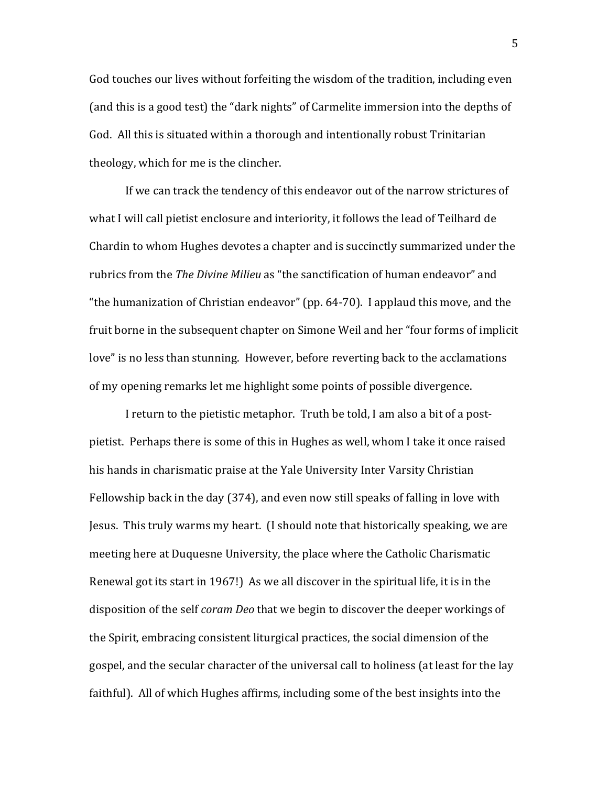God touches our lives without forfeiting the wisdom of the tradition, including even (and this is a good test) the "dark nights" of Carmelite immersion into the depths of God. All this is situated within a thorough and intentionally robust Trinitarian theology, which for me is the clincher.

If we can track the tendency of this endeavor out of the narrow strictures of what I will call pietist enclosure and interiority, it follows the lead of Teilhard de Chardin to whom Hughes devotes a chapter and is succinctly summarized under the rubrics from the The Divine Milieu as "the sanctification of human endeavor" and "the humanization of Christian endeavor" (pp. 64-70). I applaud this move, and the fruit borne in the subsequent chapter on Simone Weil and her "four forms of implicit" love" is no less than stunning. However, before reverting back to the acclamations of my opening remarks let me highlight some points of possible divergence.

I return to the pietistic metaphor. Truth be told, I am also a bit of a postpietist. Perhaps there is some of this in Hughes as well, whom I take it once raised his hands in charismatic praise at the Yale University Inter Varsity Christian Fellowship back in the day (374), and even now still speaks of falling in love with Jesus. This truly warms my heart. (I should note that historically speaking, we are meeting here at Duquesne University, the place where the Catholic Charismatic Renewal got its start in 1967!) As we all discover in the spiritual life, it is in the disposition of the self *coram Deo* that we begin to discover the deeper workings of the Spirit, embracing consistent liturgical practices, the social dimension of the gospel, and the secular character of the universal call to holiness (at least for the lay faithful). All of which Hughes affirms, including some of the best insights into the

5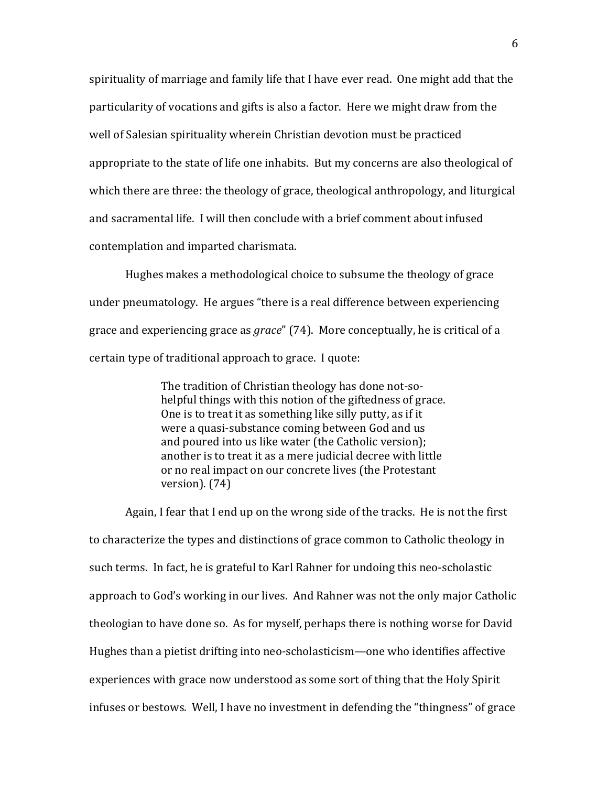spirituality of marriage and family life that I have ever read. One might add that the particularity of vocations and gifts is also a factor. Here we might draw from the well of Salesian spirituality wherein Christian devotion must be practiced appropriate to the state of life one inhabits. But my concerns are also theological of which there are three: the theology of grace, theological anthropology, and liturgical and sacramental life. I will then conclude with a brief comment about infused contemplation and imparted charismata.

Hughes makes a methodological choice to subsume the theology of grace under pneumatology. He argues "there is a real difference between experiencing grace and experiencing grace as *grace*" (74). More conceptually, he is critical of a certain type of traditional approach to grace. I quote:

> The tradition of Christian theology has done not-sohelpful things with this notion of the giftedness of grace. One is to treat it as something like silly putty, as if it were a quasi-substance coming between God and us and poured into us like water (the Catholic version); another is to treat it as a mere judicial decree with little or no real impact on our concrete lives (the Protestant version).  $(74)$

Again, I fear that I end up on the wrong side of the tracks. He is not the first to characterize the types and distinctions of grace common to Catholic theology in such terms. In fact, he is grateful to Karl Rahner for undoing this neo-scholastic approach to God's working in our lives. And Rahner was not the only major Catholic theologian to have done so. As for myself, perhaps there is nothing worse for David Hughes than a pietist drifting into neo-scholasticism—one who identifies affective experiences with grace now understood as some sort of thing that the Holy Spirit infuses or bestows. Well, I have no investment in defending the "thingness" of grace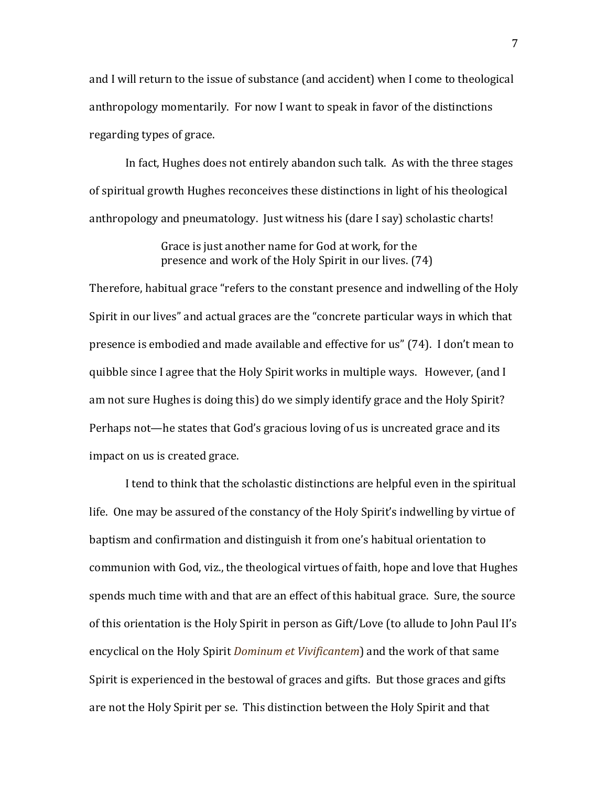and I will return to the issue of substance (and accident) when I come to theological anthropology momentarily. For now I want to speak in favor of the distinctions regarding types of grace.

In fact, Hughes does not entirely abandon such talk. As with the three stages of spiritual growth Hughes reconceives these distinctions in light of his theological anthropology and pneumatology. Just witness his (dare I say) scholastic charts!

> Grace is just another name for God at work, for the presence and work of the Holy Spirit in our lives. (74)

Therefore, habitual grace "refers to the constant presence and indwelling of the Holy Spirit in our lives" and actual graces are the "concrete particular ways in which that presence is embodied and made available and effective for us" (74). I don't mean to quibble since I agree that the Holy Spirit works in multiple ways. However, (and I am not sure Hughes is doing this) do we simply identify grace and the Holy Spirit? Perhaps not—he states that God's gracious loving of us is uncreated grace and its impact on us is created grace.

I tend to think that the scholastic distinctions are helpful even in the spiritual life. One may be assured of the constancy of the Holy Spirit's indwelling by virtue of baptism and confirmation and distinguish it from one's habitual orientation to communion with God, viz., the theological virtues of faith, hope and love that Hughes spends much time with and that are an effect of this habitual grace. Sure, the source of this orientation is the Holy Spirit in person as Gift/Love (to allude to John Paul II's encyclical on the Holy Spirit *Dominum et Vivificantem*) and the work of that same Spirit is experienced in the bestowal of graces and gifts. But those graces and gifts are not the Holy Spirit per se. This distinction between the Holy Spirit and that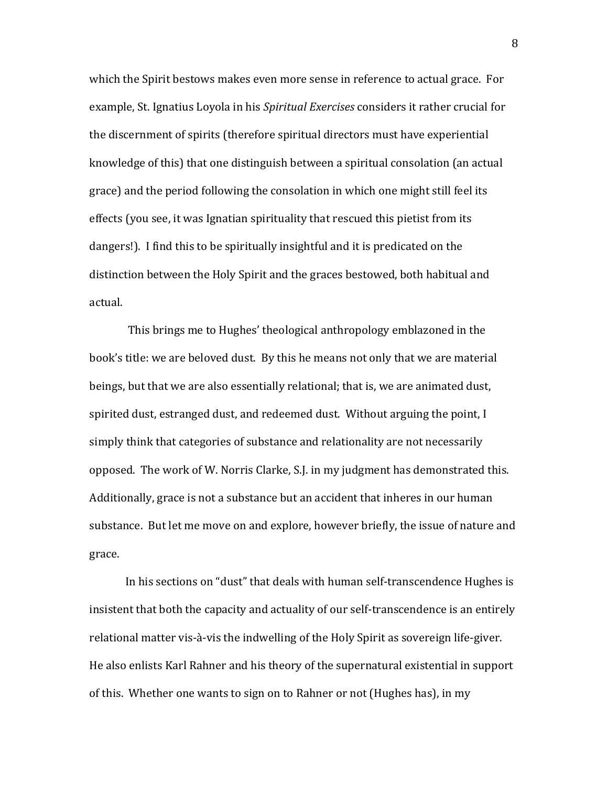which the Spirit bestows makes even more sense in reference to actual grace. For example, St. Ignatius Loyola in his Spiritual Exercises considers it rather crucial for the discernment of spirits (therefore spiritual directors must have experiential knowledge of this) that one distinguish between a spiritual consolation (an actual grace) and the period following the consolation in which one might still feel its effects (you see, it was Ignatian spirituality that rescued this pietist from its dangers!). I find this to be spiritually insightful and it is predicated on the distinction between the Holy Spirit and the graces bestowed, both habitual and actual.

This brings me to Hughes' theological anthropology emblazoned in the book's title: we are beloved dust. By this he means not only that we are material beings, but that we are also essentially relational; that is, we are animated dust, spirited dust, estranged dust, and redeemed dust. Without arguing the point, I simply think that categories of substance and relationality are not necessarily opposed. The work of W. Norris Clarke, S.J. in my judgment has demonstrated this. Additionally, grace is not a substance but an accident that inheres in our human substance. But let me move on and explore, however briefly, the issue of nature and grace.

In his sections on "dust" that deals with human self-transcendence Hughes is insistent that both the capacity and actuality of our self-transcendence is an entirely relational matter vis-à-vis the indwelling of the Holy Spirit as sovereign life-giver. He also enlists Karl Rahner and his theory of the supernatural existential in support of this. Whether one wants to sign on to Rahner or not (Hughes has), in my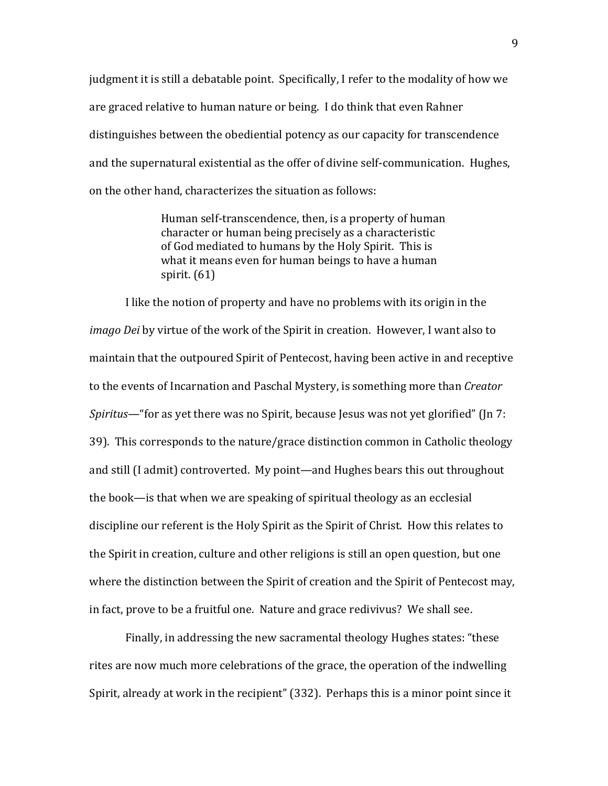judgment it is still a debatable point. Specifically, I refer to the modality of how we are graced relative to human nature or being. I do think that even Rahner distinguishes between the obediential potency as our capacity for transcendence and the supernatural existential as the offer of divine self-communication. Hughes, on the other hand, characterizes the situation as follows:

> Human self-transcendence, then, is a property of human character or human being precisely as a characteristic of God mediated to humans by the Holy Spirit. This is what it means even for human beings to have a human spirit.  $(61)$

I like the notion of property and have no problems with its origin in the *imago Dei* by virtue of the work of the Spirit in creation. However, I want also to maintain that the outpoured Spirit of Pentecost, having been active in and receptive to the events of Incarnation and Paschal Mystery, is something more than Creator *Spiritus*— "for as yet there was no Spirit, because Jesus was not yet glorified" (Jn 7: 39). This corresponds to the nature/grace distinction common in Catholic theology and still (I admit) controverted. My point—and Hughes bears this out throughout the book—is that when we are speaking of spiritual theology as an ecclesial discipline our referent is the Holy Spirit as the Spirit of Christ. How this relates to the Spirit in creation, culture and other religions is still an open question, but one where the distinction between the Spirit of creation and the Spirit of Pentecost may, in fact, prove to be a fruitful one. Nature and grace redivivus? We shall see.

Finally, in addressing the new sacramental theology Hughes states: "these rites are now much more celebrations of the grace, the operation of the indwelling Spirit, already at work in the recipient" (332). Perhaps this is a minor point since it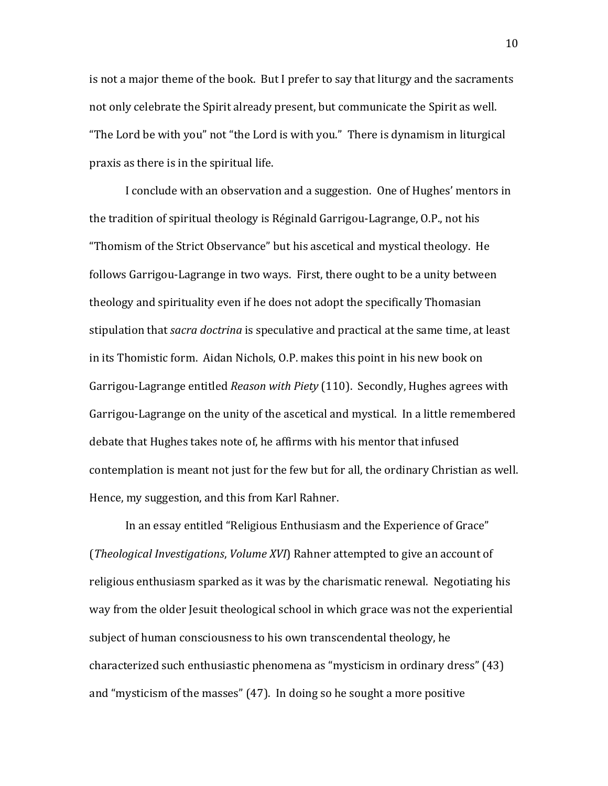is not a major theme of the book. But I prefer to say that liturgy and the sacraments not only celebrate the Spirit already present, but communicate the Spirit as well. "The Lord be with you" not "the Lord is with you." There is dynamism in liturgical praxis as there is in the spiritual life.

I conclude with an observation and a suggestion. One of Hughes' mentors in the tradition of spiritual theology is Réginald Garrigou-Lagrange, O.P., not his "Thomism of the Strict Observance" but his ascetical and mystical theology. He follows Garrigou-Lagrange in two ways. First, there ought to be a unity between theology and spirituality even if he does not adopt the specifically Thomasian stipulation that *sacra doctrina* is speculative and practical at the same time, at least in its Thomistic form. Aidan Nichols, O.P. makes this point in his new book on Garrigou-Lagrange entitled Reason with Piety (110). Secondly, Hughes agrees with Garrigou-Lagrange on the unity of the ascetical and mystical. In a little remembered debate that Hughes takes note of, he affirms with his mentor that infused contemplation is meant not just for the few but for all, the ordinary Christian as well. Hence, my suggestion, and this from Karl Rahner.

In an essay entitled "Religious Enthusiasm and the Experience of Grace" (Theological Investigations, Volume XVI) Rahner attempted to give an account of religious enthusiasm sparked as it was by the charismatic renewal. Negotiating his way from the older Jesuit theological school in which grace was not the experiential subject of human consciousness to his own transcendental theology, he characterized such enthusiastic phenomena as "mysticism in ordinary dress" (43) and "mysticism of the masses" (47). In doing so he sought a more positive

10